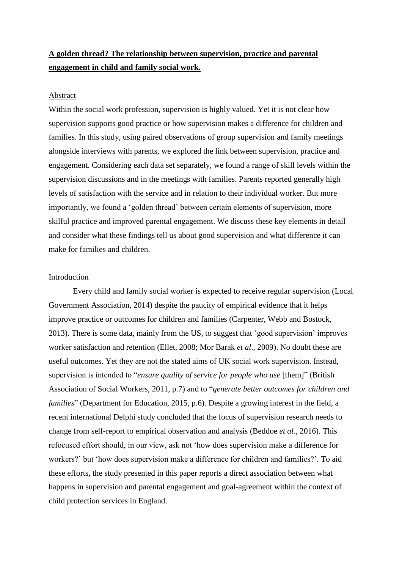# **A golden thread? The relationship between supervision, practice and parental engagement in child and family social work.**

#### Abstract

Within the social work profession, supervision is highly valued. Yet it is not clear how supervision supports good practice or how supervision makes a difference for children and families. In this study, using paired observations of group supervision and family meetings alongside interviews with parents, we explored the link between supervision, practice and engagement. Considering each data set separately, we found a range of skill levels within the supervision discussions and in the meetings with families. Parents reported generally high levels of satisfaction with the service and in relation to their individual worker. But more importantly, we found a 'golden thread' between certain elements of supervision, more skilful practice and improved parental engagement. We discuss these key elements in detail and consider what these findings tell us about good supervision and what difference it can make for families and children.

## Introduction

Every child and family social worker is expected to receive regular supervision (Local Government Association, 2014) despite the paucity of empirical evidence that it helps improve practice or outcomes for children and families (Carpenter, Webb and Bostock, 2013). There is some data, mainly from the US, to suggest that 'good supervision' improves worker satisfaction and retention (Ellet, 2008; Mor Barak *et al*., 2009). No doubt these are useful outcomes. Yet they are not the stated aims of UK social work supervision. Instead, supervision is intended to "*ensure quality of service for people who use* [them]" (British Association of Social Workers, 2011, p.7) and to "*generate better outcomes for children and families*" (Department for Education, 2015, p.6). Despite a growing interest in the field, a recent international Delphi study concluded that the focus of supervision research needs to change from self-report to empirical observation and analysis (Beddoe *et al.*, 2016). This refocused effort should, in our view, ask not 'how does supervision make a difference for workers?' but 'how does supervision make a difference for children and families?'. To aid these efforts, the study presented in this paper reports a direct association between what happens in supervision and parental engagement and goal-agreement within the context of child protection services in England.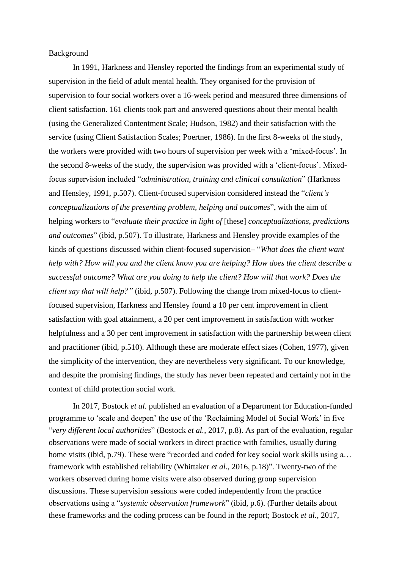#### **Background**

In 1991, Harkness and Hensley reported the findings from an experimental study of supervision in the field of adult mental health. They organised for the provision of supervision to four social workers over a 16-week period and measured three dimensions of client satisfaction. 161 clients took part and answered questions about their mental health (using the Generalized Contentment Scale; Hudson, 1982) and their satisfaction with the service (using Client Satisfaction Scales; Poertner, 1986). In the first 8-weeks of the study, the workers were provided with two hours of supervision per week with a 'mixed-focus'. In the second 8-weeks of the study, the supervision was provided with a 'client-focus'. Mixedfocus supervision included "*administration, training and clinical consultation*" (Harkness and Hensley, 1991, p.507). Client-focused supervision considered instead the "*client's conceptualizations of the presenting problem, helping and outcomes*", with the aim of helping workers to "*evaluate their practice in light of* [these] *conceptualizations, predictions and outcomes*" (ibid, p.507). To illustrate, Harkness and Hensley provide examples of the kinds of questions discussed within client-focused supervision– "*What does the client want help with? How will you and the client know you are helping? How does the client describe a successful outcome? What are you doing to help the client? How will that work? Does the client say that will help?"* (ibid, p.507). Following the change from mixed-focus to clientfocused supervision, Harkness and Hensley found a 10 per cent improvement in client satisfaction with goal attainment, a 20 per cent improvement in satisfaction with worker helpfulness and a 30 per cent improvement in satisfaction with the partnership between client and practitioner (ibid, p.510). Although these are moderate effect sizes (Cohen, 1977), given the simplicity of the intervention, they are nevertheless very significant. To our knowledge, and despite the promising findings, the study has never been repeated and certainly not in the context of child protection social work.

In 2017, Bostock *et al.* published an evaluation of a Department for Education-funded programme to 'scale and deepen' the use of the 'Reclaiming Model of Social Work' in five "*very different local authorities*" (Bostock *et al.*, 2017, p.8). As part of the evaluation, regular observations were made of social workers in direct practice with families, usually during home visits (ibid, p.79). These were "recorded and coded for key social work skills using a... framework with established reliability (Whittaker *et al.*, 2016, p.18)". Twenty-two of the workers observed during home visits were also observed during group supervision discussions. These supervision sessions were coded independently from the practice observations using a "*systemic observation framework*" (ibid, p.6). (Further details about these frameworks and the coding process can be found in the report; Bostock *et al.*, 2017,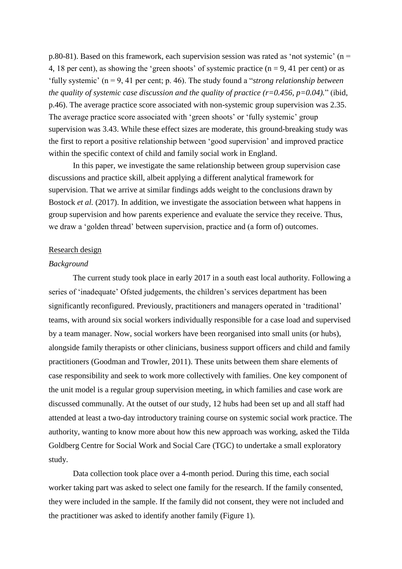p.80-81). Based on this framework, each supervision session was rated as 'not systemic' ( $n =$ 4, 18 per cent), as showing the 'green shoots' of systemic practice  $(n = 9, 41$  per cent) or as 'fully systemic' (n = 9, 41 per cent; p. 46). The study found a "*strong relationship between the quality of systemic case discussion and the quality of practice (r=0.456, p=0.04).*" (ibid, p.46). The average practice score associated with non-systemic group supervision was 2.35. The average practice score associated with 'green shoots' or 'fully systemic' group supervision was 3.43. While these effect sizes are moderate, this ground-breaking study was the first to report a positive relationship between 'good supervision' and improved practice within the specific context of child and family social work in England.

In this paper, we investigate the same relationship between group supervision case discussions and practice skill, albeit applying a different analytical framework for supervision. That we arrive at similar findings adds weight to the conclusions drawn by Bostock *et al.* (2017). In addition, we investigate the association between what happens in group supervision and how parents experience and evaluate the service they receive. Thus, we draw a 'golden thread' between supervision, practice and (a form of) outcomes.

#### Research design

#### *Background*

The current study took place in early 2017 in a south east local authority. Following a series of 'inadequate' Ofsted judgements, the children's services department has been significantly reconfigured. Previously, practitioners and managers operated in 'traditional' teams, with around six social workers individually responsible for a case load and supervised by a team manager. Now, social workers have been reorganised into small units (or hubs), alongside family therapists or other clinicians, business support officers and child and family practitioners (Goodman and Trowler, 2011). These units between them share elements of case responsibility and seek to work more collectively with families. One key component of the unit model is a regular group supervision meeting, in which families and case work are discussed communally. At the outset of our study, 12 hubs had been set up and all staff had attended at least a two-day introductory training course on systemic social work practice. The authority, wanting to know more about how this new approach was working, asked the Tilda Goldberg Centre for Social Work and Social Care (TGC) to undertake a small exploratory study.

Data collection took place over a 4-month period. During this time, each social worker taking part was asked to select one family for the research. If the family consented, they were included in the sample. If the family did not consent, they were not included and the practitioner was asked to identify another family (Figure 1).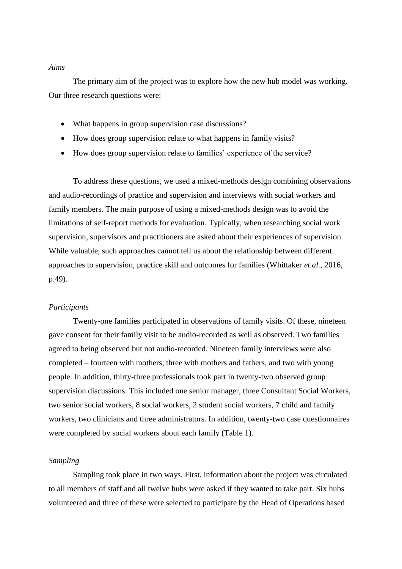#### *Aims*

The primary aim of the project was to explore how the new hub model was working. Our three research questions were:

- What happens in group supervision case discussions?
- How does group supervision relate to what happens in family visits?
- How does group supervision relate to families' experience of the service?

To address these questions, we used a mixed-methods design combining observations and audio-recordings of practice and supervision and interviews with social workers and family members. The main purpose of using a mixed-methods design was to avoid the limitations of self-report methods for evaluation. Typically, when researching social work supervision, supervisors and practitioners are asked about their experiences of supervision. While valuable, such approaches cannot tell us about the relationship between different approaches to supervision, practice skill and outcomes for families (Whittaker *et al.*, 2016, p.49).

## *Participants*

Twenty-one families participated in observations of family visits. Of these, nineteen gave consent for their family visit to be audio-recorded as well as observed. Two families agreed to being observed but not audio-recorded. Nineteen family interviews were also completed – fourteen with mothers, three with mothers and fathers, and two with young people. In addition, thirty-three professionals took part in twenty-two observed group supervision discussions. This included one senior manager, three Consultant Social Workers, two senior social workers, 8 social workers, 2 student social workers, 7 child and family workers, two clinicians and three administrators. In addition, twenty-two case questionnaires were completed by social workers about each family (Table 1).

#### *Sampling*

Sampling took place in two ways. First, information about the project was circulated to all members of staff and all twelve hubs were asked if they wanted to take part. Six hubs volunteered and three of these were selected to participate by the Head of Operations based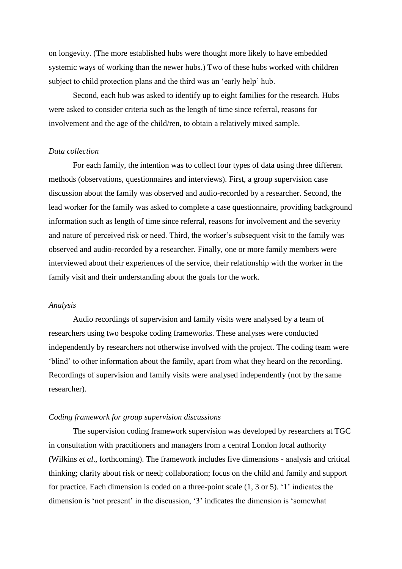on longevity. (The more established hubs were thought more likely to have embedded systemic ways of working than the newer hubs.) Two of these hubs worked with children subject to child protection plans and the third was an 'early help' hub.

Second, each hub was asked to identify up to eight families for the research. Hubs were asked to consider criteria such as the length of time since referral, reasons for involvement and the age of the child/ren, to obtain a relatively mixed sample.

## *Data collection*

For each family, the intention was to collect four types of data using three different methods (observations, questionnaires and interviews). First, a group supervision case discussion about the family was observed and audio-recorded by a researcher. Second, the lead worker for the family was asked to complete a case questionnaire, providing background information such as length of time since referral, reasons for involvement and the severity and nature of perceived risk or need. Third, the worker's subsequent visit to the family was observed and audio-recorded by a researcher. Finally, one or more family members were interviewed about their experiences of the service, their relationship with the worker in the family visit and their understanding about the goals for the work.

#### *Analysis*

Audio recordings of supervision and family visits were analysed by a team of researchers using two bespoke coding frameworks. These analyses were conducted independently by researchers not otherwise involved with the project. The coding team were 'blind' to other information about the family, apart from what they heard on the recording. Recordings of supervision and family visits were analysed independently (not by the same researcher).

#### *Coding framework for group supervision discussions*

The supervision coding framework supervision was developed by researchers at TGC in consultation with practitioners and managers from a central London local authority (Wilkins *et al*., forthcoming). The framework includes five dimensions - analysis and critical thinking; clarity about risk or need; collaboration; focus on the child and family and support for practice. Each dimension is coded on a three-point scale (1, 3 or 5). '1' indicates the dimension is 'not present' in the discussion, '3' indicates the dimension is 'somewhat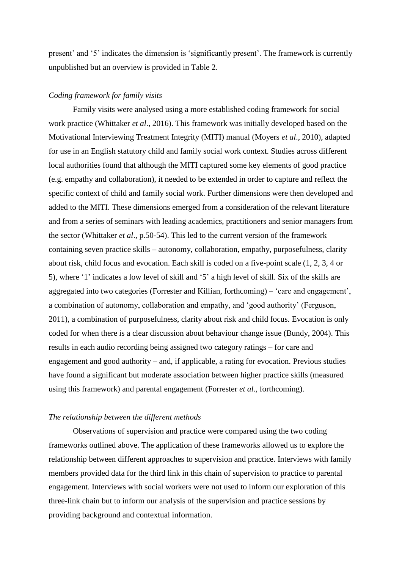present' and '5' indicates the dimension is 'significantly present'. The framework is currently unpublished but an overview is provided in Table 2.

### *Coding framework for family visits*

Family visits were analysed using a more established coding framework for social work practice (Whittaker *et al*., 2016). This framework was initially developed based on the Motivational Interviewing Treatment Integrity (MITI) manual (Moyers *et al*., 2010), adapted for use in an English statutory child and family social work context. Studies across different local authorities found that although the MITI captured some key elements of good practice (e.g. empathy and collaboration), it needed to be extended in order to capture and reflect the specific context of child and family social work. Further dimensions were then developed and added to the MITI. These dimensions emerged from a consideration of the relevant literature and from a series of seminars with leading academics, practitioners and senior managers from the sector (Whittaker *et al*., p.50-54). This led to the current version of the framework containing seven practice skills – autonomy, collaboration, empathy, purposefulness, clarity about risk, child focus and evocation. Each skill is coded on a five-point scale (1, 2, 3, 4 or 5), where '1' indicates a low level of skill and '5' a high level of skill. Six of the skills are aggregated into two categories (Forrester and Killian, forthcoming) – 'care and engagement', a combination of autonomy, collaboration and empathy, and 'good authority' (Ferguson, 2011), a combination of purposefulness, clarity about risk and child focus. Evocation is only coded for when there is a clear discussion about behaviour change issue (Bundy, 2004). This results in each audio recording being assigned two category ratings – for care and engagement and good authority – and, if applicable, a rating for evocation. Previous studies have found a significant but moderate association between higher practice skills (measured using this framework) and parental engagement (Forrester *et al*., forthcoming).

#### *The relationship between the different methods*

Observations of supervision and practice were compared using the two coding frameworks outlined above. The application of these frameworks allowed us to explore the relationship between different approaches to supervision and practice. Interviews with family members provided data for the third link in this chain of supervision to practice to parental engagement. Interviews with social workers were not used to inform our exploration of this three-link chain but to inform our analysis of the supervision and practice sessions by providing background and contextual information.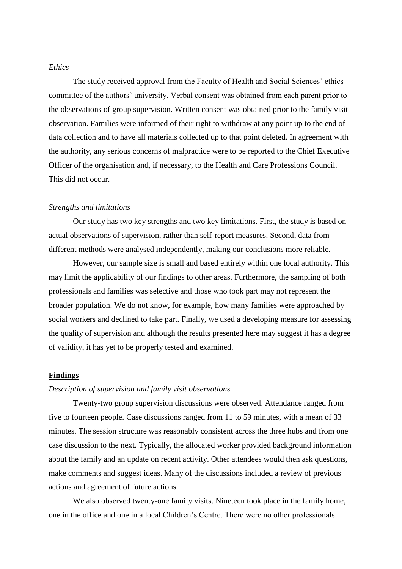## *Ethics*

The study received approval from the Faculty of Health and Social Sciences' ethics committee of the authors' university. Verbal consent was obtained from each parent prior to the observations of group supervision. Written consent was obtained prior to the family visit observation. Families were informed of their right to withdraw at any point up to the end of data collection and to have all materials collected up to that point deleted. In agreement with the authority, any serious concerns of malpractice were to be reported to the Chief Executive Officer of the organisation and, if necessary, to the Health and Care Professions Council. This did not occur.

#### *Strengths and limitations*

Our study has two key strengths and two key limitations. First, the study is based on actual observations of supervision, rather than self-report measures. Second, data from different methods were analysed independently, making our conclusions more reliable.

However, our sample size is small and based entirely within one local authority. This may limit the applicability of our findings to other areas. Furthermore, the sampling of both professionals and families was selective and those who took part may not represent the broader population. We do not know, for example, how many families were approached by social workers and declined to take part. Finally, we used a developing measure for assessing the quality of supervision and although the results presented here may suggest it has a degree of validity, it has yet to be properly tested and examined.

#### **Findings**

## *Description of supervision and family visit observations*

Twenty-two group supervision discussions were observed. Attendance ranged from five to fourteen people. Case discussions ranged from 11 to 59 minutes, with a mean of 33 minutes. The session structure was reasonably consistent across the three hubs and from one case discussion to the next. Typically, the allocated worker provided background information about the family and an update on recent activity. Other attendees would then ask questions, make comments and suggest ideas. Many of the discussions included a review of previous actions and agreement of future actions.

We also observed twenty-one family visits. Nineteen took place in the family home, one in the office and one in a local Children's Centre. There were no other professionals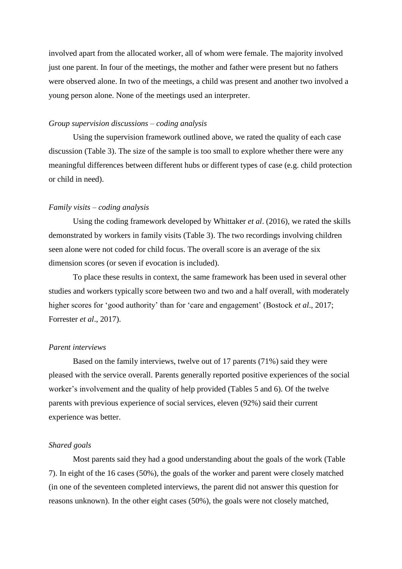involved apart from the allocated worker, all of whom were female. The majority involved just one parent. In four of the meetings, the mother and father were present but no fathers were observed alone. In two of the meetings, a child was present and another two involved a young person alone. None of the meetings used an interpreter.

## *Group supervision discussions – coding analysis*

Using the supervision framework outlined above, we rated the quality of each case discussion (Table 3). The size of the sample is too small to explore whether there were any meaningful differences between different hubs or different types of case (e.g. child protection or child in need).

#### *Family visits – coding analysis*

Using the coding framework developed by Whittaker *et al*. (2016), we rated the skills demonstrated by workers in family visits (Table 3). The two recordings involving children seen alone were not coded for child focus. The overall score is an average of the six dimension scores (or seven if evocation is included).

To place these results in context, the same framework has been used in several other studies and workers typically score between two and two and a half overall, with moderately higher scores for 'good authority' than for 'care and engagement' (Bostock *et al*., 2017; Forrester *et al*., 2017).

## *Parent interviews*

Based on the family interviews, twelve out of 17 parents (71%) said they were pleased with the service overall. Parents generally reported positive experiences of the social worker's involvement and the quality of help provided (Tables 5 and 6). Of the twelve parents with previous experience of social services, eleven (92%) said their current experience was better.

#### *Shared goals*

Most parents said they had a good understanding about the goals of the work (Table 7). In eight of the 16 cases (50%), the goals of the worker and parent were closely matched (in one of the seventeen completed interviews, the parent did not answer this question for reasons unknown). In the other eight cases (50%), the goals were not closely matched,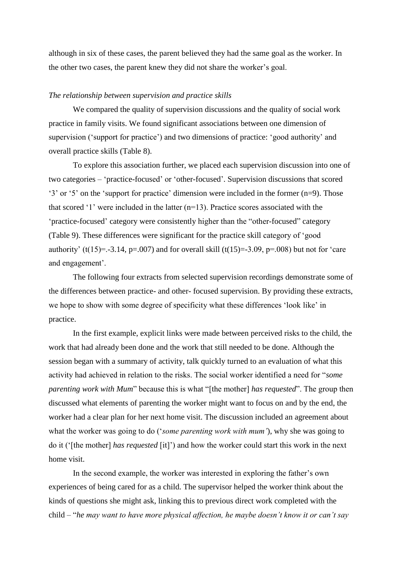although in six of these cases, the parent believed they had the same goal as the worker. In the other two cases, the parent knew they did not share the worker's goal.

#### *The relationship between supervision and practice skills*

We compared the quality of supervision discussions and the quality of social work practice in family visits. We found significant associations between one dimension of supervision ('support for practice') and two dimensions of practice: 'good authority' and overall practice skills (Table 8).

To explore this association further, we placed each supervision discussion into one of two categories – 'practice-focused' or 'other-focused'. Supervision discussions that scored '3' or '5' on the 'support for practice' dimension were included in the former (n=9). Those that scored '1' were included in the latter (n=13). Practice scores associated with the 'practice-focused' category were consistently higher than the "other-focused" category (Table 9). These differences were significant for the practice skill category of 'good authority' (t(15)=.-3.14, p=.007) and for overall skill (t(15)=-3.09, p=.008) but not for 'care and engagement'.

The following four extracts from selected supervision recordings demonstrate some of the differences between practice- and other- focused supervision. By providing these extracts, we hope to show with some degree of specificity what these differences 'look like' in practice.

In the first example, explicit links were made between perceived risks to the child, the work that had already been done and the work that still needed to be done. Although the session began with a summary of activity, talk quickly turned to an evaluation of what this activity had achieved in relation to the risks. The social worker identified a need for "*some parenting work with Mum*" because this is what "[the mother] *has requested*". The group then discussed what elements of parenting the worker might want to focus on and by the end, the worker had a clear plan for her next home visit. The discussion included an agreement about what the worker was going to do ('*some parenting work with mum'*), why she was going to do it ('[the mother] *has requested* [it]') and how the worker could start this work in the next home visit.

In the second example, the worker was interested in exploring the father's own experiences of being cared for as a child. The supervisor helped the worker think about the kinds of questions she might ask, linking this to previous direct work completed with the child – "*he may want to have more physical affection, he maybe doesn't know it or can't say*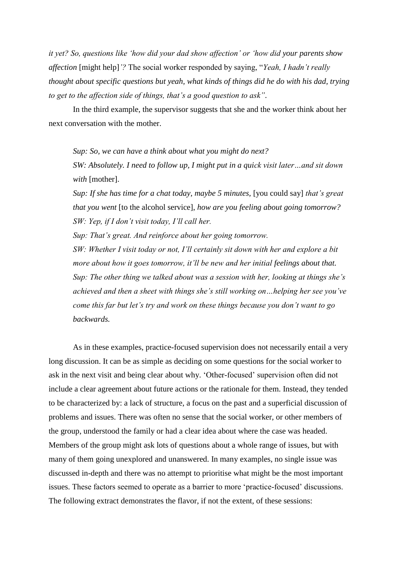*it yet? So, questions like 'how did your dad show affection' or 'how did your parents show affection* [might help]*'?* The social worker responded by saying, "*Yeah, I hadn't really thought about specific questions but yeah, what kinds of things did he do with his dad, trying to get to the affection side of things, that's a good question to ask"*.

In the third example, the supervisor suggests that she and the worker think about her next conversation with the mother.

*Sup: So, we can have a think about what you might do next? SW: Absolutely. I need to follow up, I might put in a quick visit later…and sit down with* [mother].

*Sup: If she has time for a chat today, maybe 5 minutes,* [you could say] *that's great that you went* [to the alcohol service], *how are you feeling about going tomorrow? SW: Yep, if I don't visit today, I'll call her.* 

*Sup: That's great. And reinforce about her going tomorrow.* 

*SW: Whether I visit today or not, I'll certainly sit down with her and explore a bit more about how it goes tomorrow, it'll be new and her initial feelings about that. Sup: The other thing we talked about was a session with her, looking at things she's achieved and then a sheet with things she's still working on…helping her see you've come this far but let's try and work on these things because you don't want to go backwards.*

As in these examples, practice-focused supervision does not necessarily entail a very long discussion. It can be as simple as deciding on some questions for the social worker to ask in the next visit and being clear about why. 'Other-focused' supervision often did not include a clear agreement about future actions or the rationale for them. Instead, they tended to be characterized by: a lack of structure, a focus on the past and a superficial discussion of problems and issues. There was often no sense that the social worker, or other members of the group, understood the family or had a clear idea about where the case was headed. Members of the group might ask lots of questions about a whole range of issues, but with many of them going unexplored and unanswered. In many examples, no single issue was discussed in-depth and there was no attempt to prioritise what might be the most important issues. These factors seemed to operate as a barrier to more 'practice-focused' discussions. The following extract demonstrates the flavor, if not the extent, of these sessions: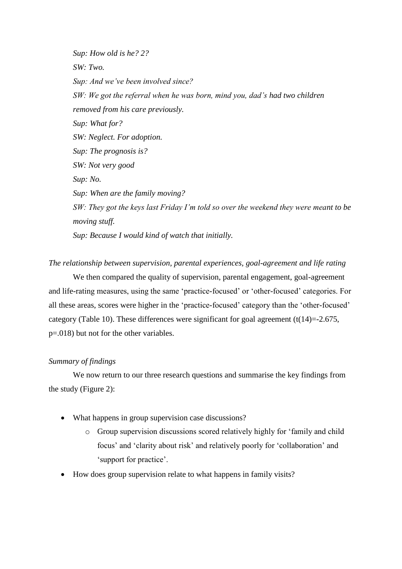*Sup: How old is he? 2? SW: Two. Sup: And we've been involved since? SW: We got the referral when he was born, mind you, dad's had two children removed from his care previously. Sup: What for? SW: Neglect. For adoption. Sup: The prognosis is? SW: Not very good Sup: No. Sup: When are the family moving? SW: They got the keys last Friday I'm told so over the weekend they were meant to be moving stuff. Sup: Because I would kind of watch that initially.* 

*The relationship between supervision, parental experiences, goal-agreement and life rating*

We then compared the quality of supervision, parental engagement, goal-agreement and life-rating measures, using the same 'practice-focused' or 'other-focused' categories. For all these areas, scores were higher in the 'practice-focused' category than the 'other-focused' category (Table 10). These differences were significant for goal agreement  $(t(14)=2.675)$ , p=.018) but not for the other variables.

## *Summary of findings*

We now return to our three research questions and summarise the key findings from the study (Figure 2):

- What happens in group supervision case discussions?
	- o Group supervision discussions scored relatively highly for 'family and child focus' and 'clarity about risk' and relatively poorly for 'collaboration' and 'support for practice'.
- How does group supervision relate to what happens in family visits?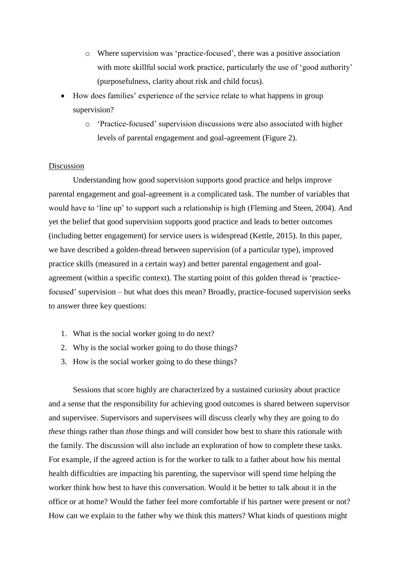- o Where supervision was 'practice-focused', there was a positive association with more skillful social work practice, particularly the use of 'good authority' (purposefulness, clarity about risk and child focus).
- How does families' experience of the service relate to what happens in group supervision?
	- o 'Practice-focused' supervision discussions were also associated with higher levels of parental engagement and goal-agreement (Figure 2).

# Discussion

Understanding how good supervision supports good practice and helps improve parental engagement and goal-agreement is a complicated task. The number of variables that would have to 'line up' to support such a relationship is high (Fleming and Steen, 2004). And yet the belief that good supervision supports good practice and leads to better outcomes (including better engagement) for service users is widespread (Kettle, 2015). In this paper, we have described a golden-thread between supervision (of a particular type), improved practice skills (measured in a certain way) and better parental engagement and goalagreement (within a specific context). The starting point of this golden thread is 'practicefocused' supervision – but what does this mean? Broadly, practice-focused supervision seeks to answer three key questions:

- 1. What is the social worker going to do next?
- 2. Why is the social worker going to do those things?
- 3. How is the social worker going to do these things?

Sessions that score highly are characterized by a sustained curiosity about practice and a sense that the responsibility for achieving good outcomes is shared between supervisor and supervisee. Supervisors and supervisees will discuss clearly why they are going to do *these* things rather than *those* things and will consider how best to share this rationale with the family. The discussion will also include an exploration of how to complete these tasks. For example, if the agreed action is for the worker to talk to a father about how his mental health difficulties are impacting his parenting, the supervisor will spend time helping the worker think how best to have this conversation. Would it be better to talk about it in the office or at home? Would the father feel more comfortable if his partner were present or not? How can we explain to the father why we think this matters? What kinds of questions might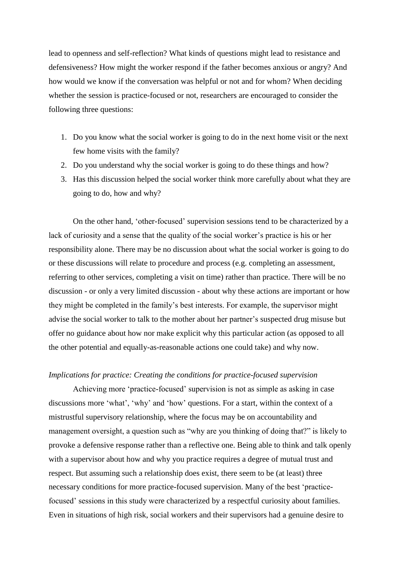lead to openness and self-reflection? What kinds of questions might lead to resistance and defensiveness? How might the worker respond if the father becomes anxious or angry? And how would we know if the conversation was helpful or not and for whom? When deciding whether the session is practice-focused or not, researchers are encouraged to consider the following three questions:

- 1. Do you know what the social worker is going to do in the next home visit or the next few home visits with the family?
- 2. Do you understand why the social worker is going to do these things and how?
- 3. Has this discussion helped the social worker think more carefully about what they are going to do, how and why?

On the other hand, 'other-focused' supervision sessions tend to be characterized by a lack of curiosity and a sense that the quality of the social worker's practice is his or her responsibility alone. There may be no discussion about what the social worker is going to do or these discussions will relate to procedure and process (e.g. completing an assessment, referring to other services, completing a visit on time) rather than practice. There will be no discussion - or only a very limited discussion - about why these actions are important or how they might be completed in the family's best interests. For example, the supervisor might advise the social worker to talk to the mother about her partner's suspected drug misuse but offer no guidance about how nor make explicit why this particular action (as opposed to all the other potential and equally-as-reasonable actions one could take) and why now.

## *Implications for practice: Creating the conditions for practice-focused supervision*

Achieving more 'practice-focused' supervision is not as simple as asking in case discussions more 'what', 'why' and 'how' questions. For a start, within the context of a mistrustful supervisory relationship, where the focus may be on accountability and management oversight, a question such as "why are you thinking of doing that?" is likely to provoke a defensive response rather than a reflective one. Being able to think and talk openly with a supervisor about how and why you practice requires a degree of mutual trust and respect. But assuming such a relationship does exist, there seem to be (at least) three necessary conditions for more practice-focused supervision. Many of the best 'practicefocused' sessions in this study were characterized by a respectful curiosity about families. Even in situations of high risk, social workers and their supervisors had a genuine desire to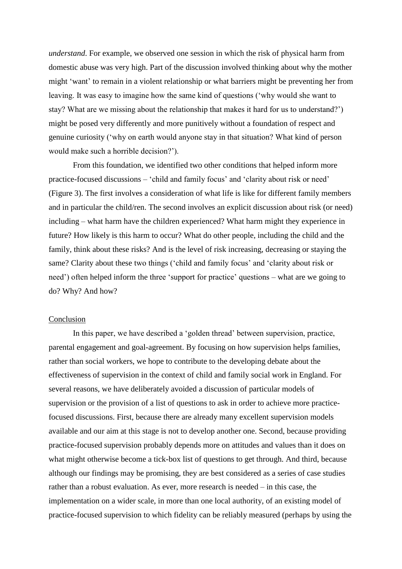*understand*. For example, we observed one session in which the risk of physical harm from domestic abuse was very high. Part of the discussion involved thinking about why the mother might 'want' to remain in a violent relationship or what barriers might be preventing her from leaving. It was easy to imagine how the same kind of questions ('why would she want to stay? What are we missing about the relationship that makes it hard for us to understand?') might be posed very differently and more punitively without a foundation of respect and genuine curiosity ('why on earth would anyone stay in that situation? What kind of person would make such a horrible decision?').

From this foundation, we identified two other conditions that helped inform more practice-focused discussions – 'child and family focus' and 'clarity about risk or need' (Figure 3). The first involves a consideration of what life is like for different family members and in particular the child/ren. The second involves an explicit discussion about risk (or need) including – what harm have the children experienced? What harm might they experience in future? How likely is this harm to occur? What do other people, including the child and the family, think about these risks? And is the level of risk increasing, decreasing or staying the same? Clarity about these two things ('child and family focus' and 'clarity about risk or need') often helped inform the three 'support for practice' questions – what are we going to do? Why? And how?

#### Conclusion

In this paper, we have described a 'golden thread' between supervision, practice, parental engagement and goal-agreement. By focusing on how supervision helps families, rather than social workers, we hope to contribute to the developing debate about the effectiveness of supervision in the context of child and family social work in England. For several reasons, we have deliberately avoided a discussion of particular models of supervision or the provision of a list of questions to ask in order to achieve more practicefocused discussions. First, because there are already many excellent supervision models available and our aim at this stage is not to develop another one. Second, because providing practice-focused supervision probably depends more on attitudes and values than it does on what might otherwise become a tick-box list of questions to get through. And third, because although our findings may be promising, they are best considered as a series of case studies rather than a robust evaluation. As ever, more research is needed – in this case, the implementation on a wider scale, in more than one local authority, of an existing model of practice-focused supervision to which fidelity can be reliably measured (perhaps by using the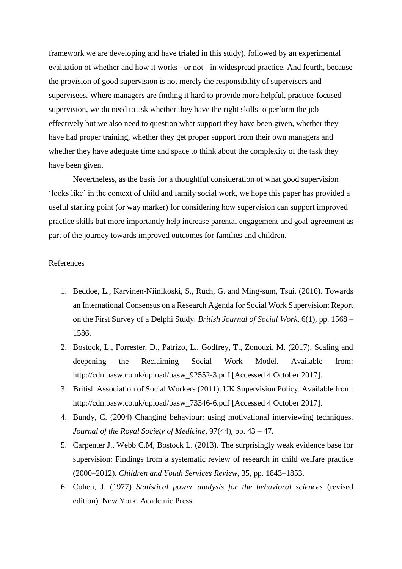framework we are developing and have trialed in this study), followed by an experimental evaluation of whether and how it works - or not - in widespread practice. And fourth, because the provision of good supervision is not merely the responsibility of supervisors and supervisees. Where managers are finding it hard to provide more helpful, practice-focused supervision, we do need to ask whether they have the right skills to perform the job effectively but we also need to question what support they have been given, whether they have had proper training, whether they get proper support from their own managers and whether they have adequate time and space to think about the complexity of the task they have been given.

Nevertheless, as the basis for a thoughtful consideration of what good supervision 'looks like' in the context of child and family social work, we hope this paper has provided a useful starting point (or way marker) for considering how supervision can support improved practice skills but more importantly help increase parental engagement and goal-agreement as part of the journey towards improved outcomes for families and children.

## References

- 1. Beddoe, L., Karvinen-Niinikoski, S., Ruch, G. and Ming-sum, Tsui. (2016). Towards an International Consensus on a Research Agenda for Social Work Supervision: Report on the First Survey of a Delphi Study. *British Journal of Social Work*, 6(1), pp. 1568 – 1586.
- 2. Bostock, L., Forrester, D., Patrizo, L., Godfrey, T., Zonouzi, M. (2017). Scaling and deepening the Reclaiming Social Work Model. Available from: http://cdn.basw.co.uk/upload/basw\_92552-3.pdf [Accessed 4 October 2017].
- 3. British Association of Social Workers (2011). UK Supervision Policy. Available from: http://cdn.basw.co.uk/upload/basw\_73346-6.pdf [Accessed 4 October 2017].
- 4. Bundy, C. (2004) Changing behaviour: using motivational interviewing techniques. *Journal of the Royal Society of Medicine*, 97(44), pp. 43 – 47.
- 5. Carpenter J., Webb C.M, Bostock L. (2013). The surprisingly weak evidence base for supervision: Findings from a systematic review of research in child welfare practice (2000–2012). *Children and Youth Services Review*, 35, pp. 1843–1853.
- 6. Cohen, J. (1977) *Statistical power analysis for the behavioral sciences* (revised edition). New York. Academic Press.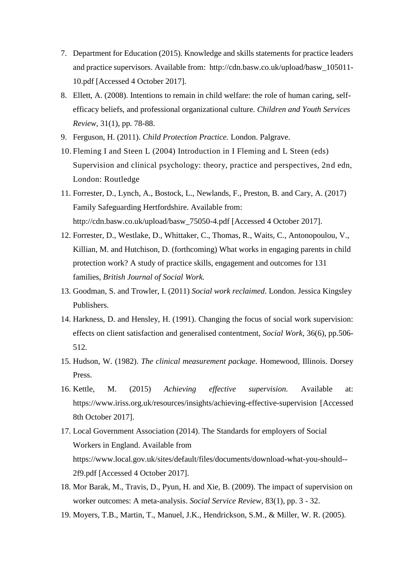- 7. Department for Education (2015). Knowledge and skills statements for practice leaders and practice supervisors. Available from: http://cdn.basw.co.uk/upload/basw\_105011- 10.pdf [Accessed 4 October 2017].
- 8. Ellett, A. (2008). Intentions to remain in child welfare: the role of human caring, selfefficacy beliefs, and professional organizational culture. *Children and Youth Services Review*, 31(1), pp. 78-88.
- 9. Ferguson, H. (2011). *Child Protection Practice.* London. Palgrave.
- 10. Fleming I and Steen L (2004) Introduction in I Fleming and L Steen (eds) Supervision and clinical psychology: theory, practice and perspectives, 2nd edn, London: Routledge
- 11. Forrester, D., Lynch, A., Bostock, L., Newlands, F., Preston, B. and Cary, A. (2017) Family Safeguarding Hertfordshire. Available from: http://cdn.basw.co.uk/upload/basw\_75050-4.pdf [Accessed 4 October 2017].
- 12. Forrester, D., Westlake, D., Whittaker, C., Thomas, R., Waits, C., Antonopoulou, V., Killian, M. and Hutchison, D. (forthcoming) What works in engaging parents in child protection work? A study of practice skills, engagement and outcomes for 131 families, *British Journal of Social Work.*
- 13. Goodman, S. and Trowler, I. (2011) *Social work reclaimed*. London. Jessica Kingsley Publishers.
- 14. Harkness, D. and Hensley, H. (1991). Changing the focus of social work supervision: effects on client satisfaction and generalised contentment, *Social Work*, 36(6), pp.506- 512.
- 15. Hudson, W. (1982). *The clinical measurement package*. Homewood, Illinois. Dorsey Press.
- 16. Kettle, M. (2015) *Achieving effective supervision.* Available at: https://www.iriss.org.uk/resources/insights/achieving-effective-supervision [Accessed 8th October 2017].
- 17. Local Government Association (2014). The Standards for employers of Social Workers in England. Available from https://www.local.gov.uk/sites/default/files/documents/download-what-you-should-- 2f9.pdf [Accessed 4 October 2017].
- 18. Mor Barak, M., Travis, D., Pyun, H. and Xie, B. (2009). The impact of supervision on worker outcomes: A meta-analysis. *Social Service Review*, 83(1), pp. 3 - 32.
- 19. Moyers, T.B., Martin, T., Manuel, J.K., Hendrickson, S.M., & Miller, W. R. (2005).